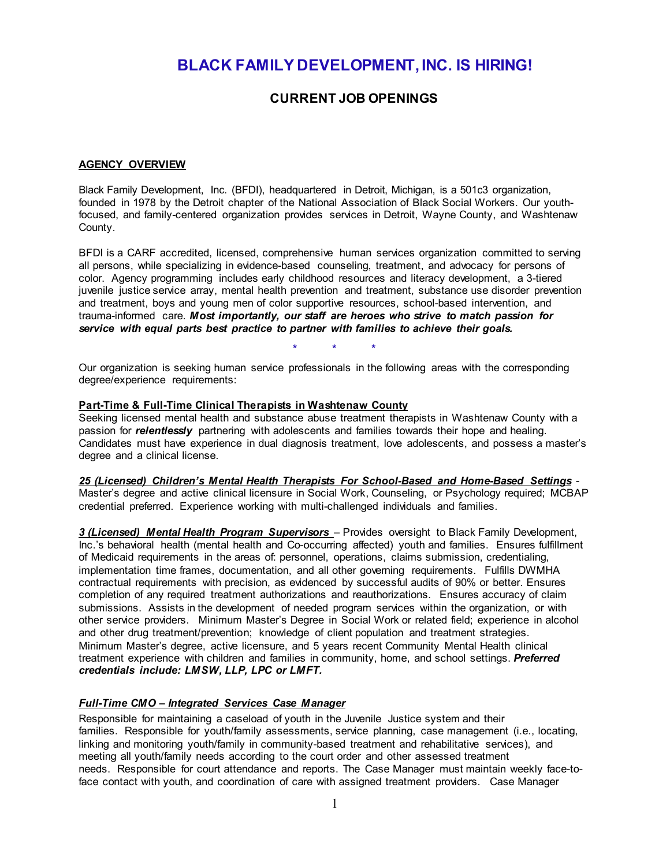# **BLACK FAMILY DEVELOPMENT, INC. IS HIRING!**

## **CURRENT JOB OPENINGS**

#### **AGENCY OVERVIEW**

Black Family Development, Inc. (BFDI), headquartered in Detroit, Michigan, is a 501c3 organization, founded in 1978 by the Detroit chapter of the National Association of Black Social Workers. Our youthfocused, and family-centered organization provides services in Detroit, Wayne County, and Washtenaw County.

BFDI is a CARF accredited, licensed, comprehensive human services organization committed to serving all persons, while specializing in evidence-based counseling, treatment, and advocacy for persons of color. Agency programming includes early childhood resources and literacy development, a 3-tiered juvenile justice service array, mental health prevention and treatment, substance use disorder prevention and treatment, boys and young men of color supportive resources, school-based intervention, and trauma-informed care. *Most importantly, our staff are heroes who strive to match passion for service with equal parts best practice to partner with families to achieve their goals.*

**\* \* \***

Our organization is seeking human service professionals in the following areas with the corresponding degree/experience requirements:

#### **Part-Time & Full-Time Clinical Therapists in Washtenaw County**

Seeking licensed mental health and substance abuse treatment therapists in Washtenaw County with a passion for *relentlessly* partnering with adolescents and families towards their hope and healing. Candidates must have experience in dual diagnosis treatment, love adolescents, and possess a master's degree and a clinical license.

*25 (Licensed) Children's Mental Health Therapists For School-Based and Home-Based Settings* - Master's degree and active clinical licensure in Social Work, Counseling, or Psychology required; MCBAP credential preferred. Experience working with multi-challenged individuals and families.

*3 (Licensed) Mental Health Program Supervisors* – Provides oversight to Black Family Development, Inc.'s behavioral health (mental health and Co-occurring affected) youth and families. Ensures fulfillment of Medicaid requirements in the areas of: personnel, operations, claims submission, credentialing, implementation time frames, documentation, and all other governing requirements. Fulfills DWMHA contractual requirements with precision, as evidenced by successful audits of 90% or better. Ensures completion of any required treatment authorizations and reauthorizations. Ensures accuracy of claim submissions. Assists in the development of needed program services within the organization, or with other service providers. Minimum Master's Degree in Social Work or related field; experience in alcohol and other drug treatment/prevention; knowledge of client population and treatment strategies. Minimum Master's degree, active licensure, and 5 years recent Community Mental Health clinical treatment experience with children and families in community, home, and school settings. *Preferred credentials include: LMSW, LLP, LPC or LMFT.*

#### *Full-Time CMO – Integrated Services Case Manager*

Responsible for maintaining a caseload of youth in the Juvenile Justice system and their families. Responsible for youth/family assessments, service planning, case management (i.e., locating, linking and monitoring youth/family in community-based treatment and rehabilitative services), and meeting all youth/family needs according to the court order and other assessed treatment needs. Responsible for court attendance and reports. The Case Manager must maintain weekly face-toface contact with youth, and coordination of care with assigned treatment providers. Case Manager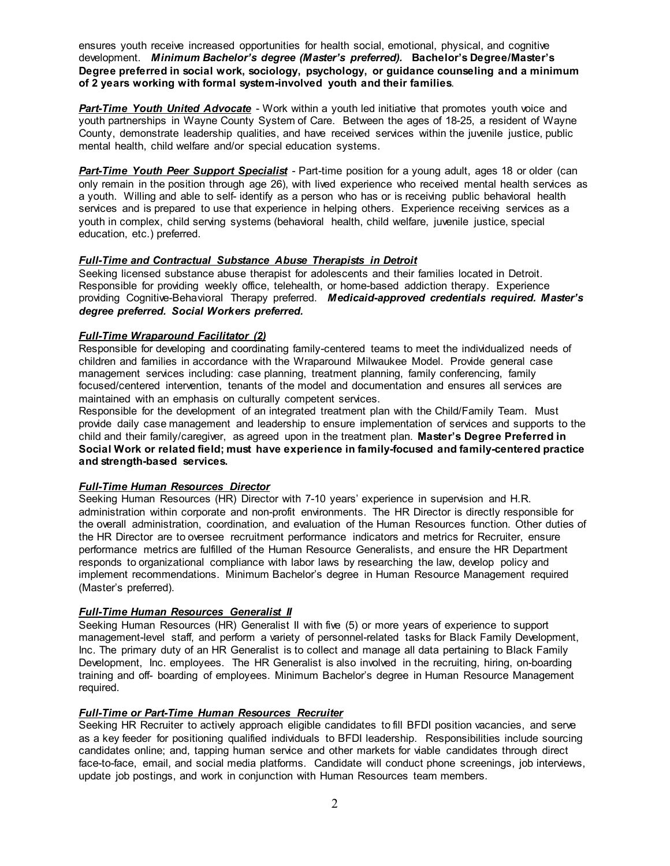ensures youth receive increased opportunities for health social, emotional, physical, and cognitive development. *Minimum Bachelor's degree (Master's preferred).* **Bachelor's Degree/Master's Degree preferred in social work, sociology, psychology, or guidance counseling and a minimum of 2 years working with formal system-involved youth and their families**.

**Part-Time Youth United Advocate** - Work within a youth led initiative that promotes youth voice and youth partnerships in Wayne County System of Care. Between the ages of 18-25, a resident of Wayne County, demonstrate leadership qualities, and have received services within the juvenile justice, public mental health, child welfare and/or special education systems.

*Part-Time Youth Peer Support Specialist* - Part-time position for a young adult, ages 18 or older (can only remain in the position through age 26), with lived experience who received mental health services as a youth. Willing and able to self- identify as a person who has or is receiving public behavioral health services and is prepared to use that experience in helping others. Experience receiving services as a youth in complex, child serving systems (behavioral health, child welfare, juvenile justice, special education, etc.) preferred.

## *Full-Time and Contractual Substance Abuse Therapists in Detroit*

Seeking licensed substance abuse therapist for adolescents and their families located in Detroit. Responsible for providing weekly office, telehealth, or home-based addiction therapy. Experience providing Cognitive-Behavioral Therapy preferred. *Medicaid-approved credentials required. Master's degree preferred. Social Workers preferred.*

## *Full-Time Wraparound Facilitator (2)*

Responsible for developing and coordinating family-centered teams to meet the individualized needs of children and families in accordance with the Wraparound Milwaukee Model. Provide general case management services including: case planning, treatment planning, family conferencing, family focused/centered intervention, tenants of the model and documentation and ensures all services are maintained with an emphasis on culturally competent services.

Responsible for the development of an integrated treatment plan with the Child/Family Team. Must provide daily case management and leadership to ensure implementation of services and supports to the child and their family/caregiver, as agreed upon in the treatment plan. **Master's Degree Preferred in Social Work or related field; must have experience in family-focused and family-centered practice and strength-based services.**

## *Full-Time Human Resources Director*

Seeking Human Resources (HR) Director with 7-10 years' experience in supervision and H.R. administration within corporate and non-profit environments. The HR Director is directly responsible for the overall administration, coordination, and evaluation of the Human Resources function. Other duties of the HR Director are to oversee recruitment performance indicators and metrics for Recruiter, ensure performance metrics are fulfilled of the Human Resource Generalists, and ensure the HR Department responds to organizational compliance with labor laws by researching the law, develop policy and implement recommendations. Minimum Bachelor's degree in Human Resource Management required (Master's preferred).

## *Full-Time Human Resources Generalist II*

Seeking Human Resources (HR) Generalist II with five (5) or more years of experience to support management-level staff, and perform a variety of personnel-related tasks for Black Family Development, Inc. The primary duty of an HR Generalist is to collect and manage all data pertaining to Black Family Development, Inc. employees. The HR Generalist is also involved in the recruiting, hiring, on-boarding training and off- boarding of employees. Minimum Bachelor's degree in Human Resource Management required.

#### *Full-Time or Part-Time Human Resources Recruiter*

Seeking HR Recruiter to actively approach eligible candidates to fill BFDI position vacancies, and serve as a key feeder for positioning qualified individuals to BFDI leadership. Responsibilities include sourcing candidates online; and, tapping human service and other markets for viable candidates through direct face-to-face, email, and social media platforms. Candidate will conduct phone screenings, job interviews, update job postings, and work in conjunction with Human Resources team members.